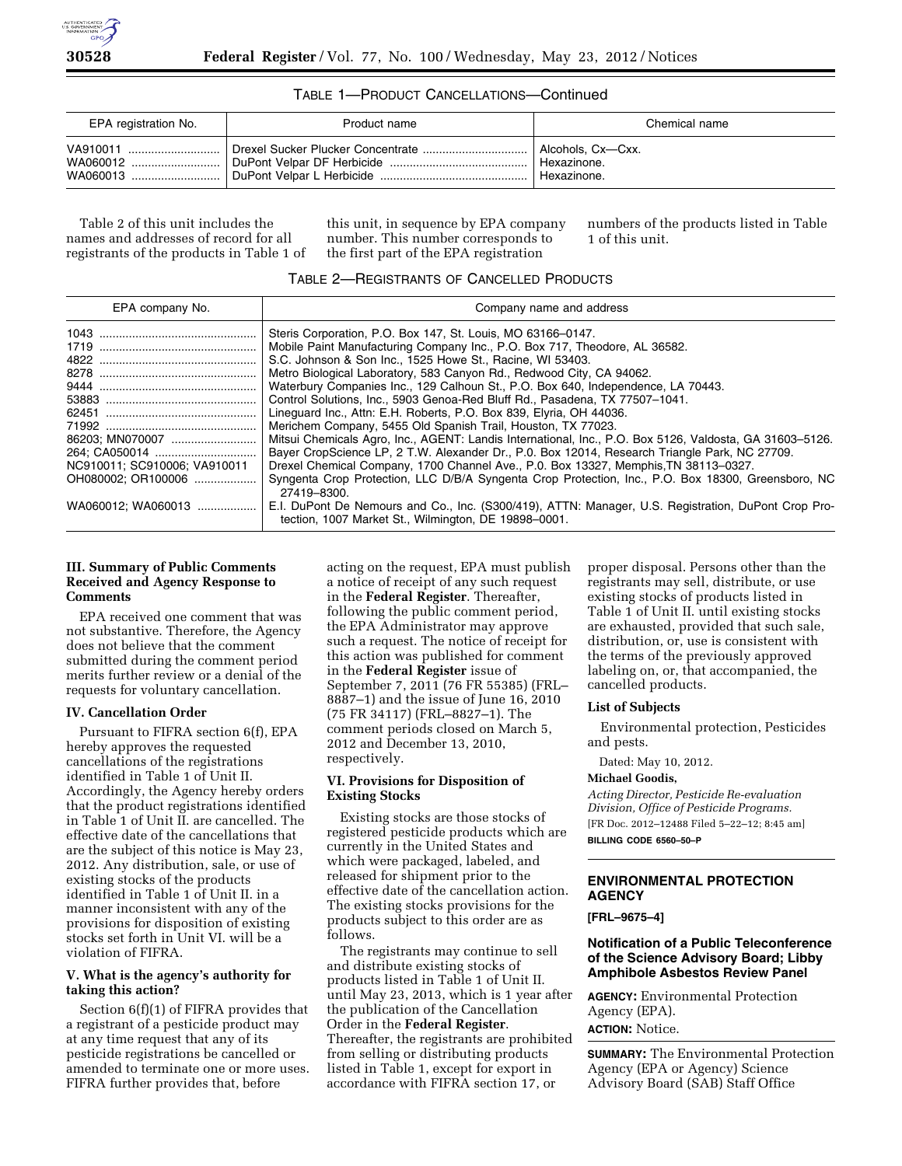

|  | TABLE 1-PRODUCT CANCELLATIONS-Continued |
|--|-----------------------------------------|
|--|-----------------------------------------|

| EPA registration No. | Product name | Chemical name     |
|----------------------|--------------|-------------------|
| VA910011             |              | Alcohols, Cx-Cxx. |
|                      |              | Hexazinone.       |
| WA060013             |              | Hexazinone.       |

Table 2 of this unit includes the names and addresses of record for all registrants of the products in Table 1 of

this unit, in sequence by EPA company number. This number corresponds to the first part of the EPA registration

numbers of the products listed in Table 1 of this unit.

## TABLE 2—REGISTRANTS OF CANCELLED PRODUCTS

| EPA company No.              | Company name and address                                                                                                                                    |
|------------------------------|-------------------------------------------------------------------------------------------------------------------------------------------------------------|
|                              | Steris Corporation, P.O. Box 147, St. Louis, MO 63166-0147.                                                                                                 |
|                              | Mobile Paint Manufacturing Company Inc., P.O. Box 717, Theodore, AL 36582.                                                                                  |
|                              | S.C. Johnson & Son Inc., 1525 Howe St., Racine, WI 53403.                                                                                                   |
|                              | Metro Biological Laboratory, 583 Canyon Rd., Redwood City, CA 94062.                                                                                        |
|                              | Waterbury Companies Inc., 129 Calhoun St., P.O. Box 640, Independence, LA 70443.                                                                            |
|                              | Control Solutions, Inc., 5903 Genoa-Red Bluff Rd., Pasadena, TX 77507-1041.                                                                                 |
|                              | Lineguard Inc., Attn: E.H. Roberts, P.O. Box 839, Elyria, OH 44036.                                                                                         |
|                              | Merichem Company, 5455 Old Spanish Trail, Houston, TX 77023.                                                                                                |
| 86203; MN070007              | Mitsui Chemicals Agro, Inc., AGENT: Landis International, Inc., P.O. Box 5126, Valdosta, GA 31603-5126.                                                     |
|                              | Bayer CropScience LP, 2 T.W. Alexander Dr., P.O. Box 12014, Research Triangle Park, NC 27709.                                                               |
| NC910011; SC910006; VA910011 | Drexel Chemical Company, 1700 Channel Ave., P.O. Box 13327, Memphis, TN 38113-0327.                                                                         |
| OH080002: OR100006           | Syngenta Crop Protection, LLC D/B/A Syngenta Crop Protection, Inc., P.O. Box 18300, Greensboro, NC<br>27419-8300.                                           |
| WA060012: WA060013           | E.I. DuPont De Nemours and Co., Inc. (S300/419), ATTN: Manager, U.S. Registration, DuPont Crop Pro-<br>tection, 1007 Market St., Wilmington, DE 19898-0001. |

# **III. Summary of Public Comments Received and Agency Response to Comments**

EPA received one comment that was not substantive. Therefore, the Agency does not believe that the comment submitted during the comment period merits further review or a denial of the requests for voluntary cancellation.

#### **IV. Cancellation Order**

Pursuant to FIFRA section 6(f), EPA hereby approves the requested cancellations of the registrations identified in Table 1 of Unit II. Accordingly, the Agency hereby orders that the product registrations identified in Table 1 of Unit II. are cancelled. The effective date of the cancellations that are the subject of this notice is May 23, 2012. Any distribution, sale, or use of existing stocks of the products identified in Table 1 of Unit II. in a manner inconsistent with any of the provisions for disposition of existing stocks set forth in Unit VI. will be a violation of FIFRA.

# **V. What is the agency's authority for taking this action?**

Section 6(f)(1) of FIFRA provides that a registrant of a pesticide product may at any time request that any of its pesticide registrations be cancelled or amended to terminate one or more uses. FIFRA further provides that, before

acting on the request, EPA must publish a notice of receipt of any such request in the **Federal Register**. Thereafter, following the public comment period, the EPA Administrator may approve such a request. The notice of receipt for this action was published for comment in the **Federal Register** issue of September 7, 2011 (76 FR 55385) (FRL– 8887–1) and the issue of June 16, 2010 (75 FR 34117) (FRL–8827–1). The comment periods closed on March 5, 2012 and December 13, 2010, respectively.

### **VI. Provisions for Disposition of Existing Stocks**

Existing stocks are those stocks of registered pesticide products which are currently in the United States and which were packaged, labeled, and released for shipment prior to the effective date of the cancellation action. The existing stocks provisions for the products subject to this order are as follows.

The registrants may continue to sell and distribute existing stocks of products listed in Table 1 of Unit II. until May 23, 2013, which is 1 year after the publication of the Cancellation Order in the **Federal Register**. Thereafter, the registrants are prohibited from selling or distributing products listed in Table 1, except for export in accordance with FIFRA section 17, or

proper disposal. Persons other than the registrants may sell, distribute, or use existing stocks of products listed in Table 1 of Unit II. until existing stocks are exhausted, provided that such sale, distribution, or, use is consistent with the terms of the previously approved labeling on, or, that accompanied, the cancelled products.

#### **List of Subjects**

Environmental protection, Pesticides and pests.

Dated: May 10, 2012.

### **Michael Goodis,**

*Acting Director, Pesticide Re-evaluation Division, Office of Pesticide Programs.*  [FR Doc. 2012–12488 Filed 5–22–12; 8:45 am] **BILLING CODE 6560–50–P** 

# **ENVIRONMENTAL PROTECTION AGENCY**

**[FRL–9675–4]** 

## **Notification of a Public Teleconference of the Science Advisory Board; Libby Amphibole Asbestos Review Panel**

**AGENCY:** Environmental Protection Agency (EPA). **ACTION:** Notice.

**SUMMARY:** The Environmental Protection Agency (EPA or Agency) Science Advisory Board (SAB) Staff Office